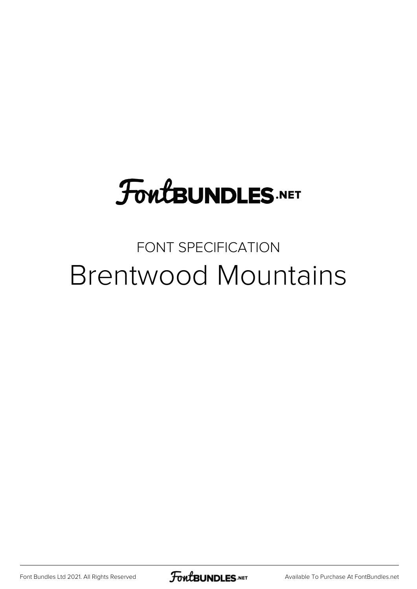## **FoutBUNDLES.NET**

## FONT SPECIFICATION Brentwood Mountains

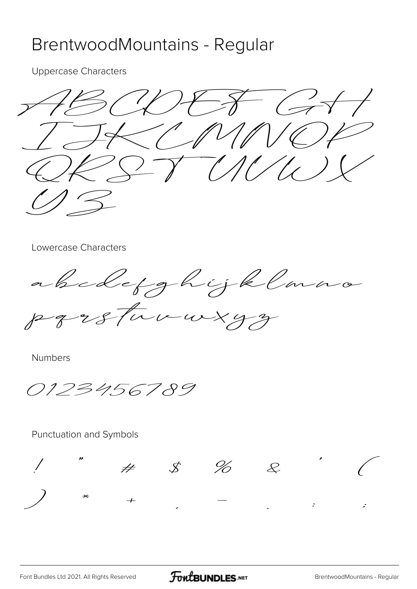## BrentwoodMountains - Regular

**Uppercase Characters** 

 $1600777777$  $K/ N/V$  $S\rightarrow V\rightarrow V\rightarrow V$ 

Lowercase Characters

abcoletghijklan parsturwxyz

**Numbers** 

0123456789

 $#$ 

Punctuation and Symbols

 $\mathcal{S}$  %

 $\mathcal{L}$ 

 $\boldsymbol{z}$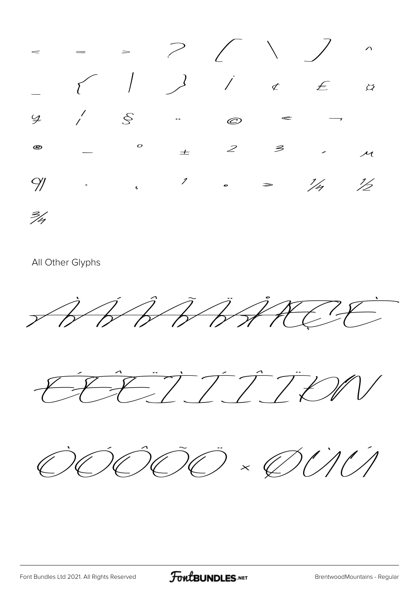|                      |  |  | $\begin{array}{cccccccccccccc} - & & & & \end{array}$                                  |  |
|----------------------|--|--|----------------------------------------------------------------------------------------|--|
|                      |  |  | $\frac{9}{7}$ $\begin{array}{ccc} & \circ & \circ & \circ & \circ & \circ \end{array}$ |  |
| $^{\circledR}$       |  |  | $-\qquad \qquad ^{\circ}$ $\qquad \pm$ $2$ $3$ $\qquad \qquad$ $\qquad$                |  |
|                      |  |  |                                                                                        |  |
| $\frac{2}{\sqrt{2}}$ |  |  |                                                                                        |  |

All Other Glyphs







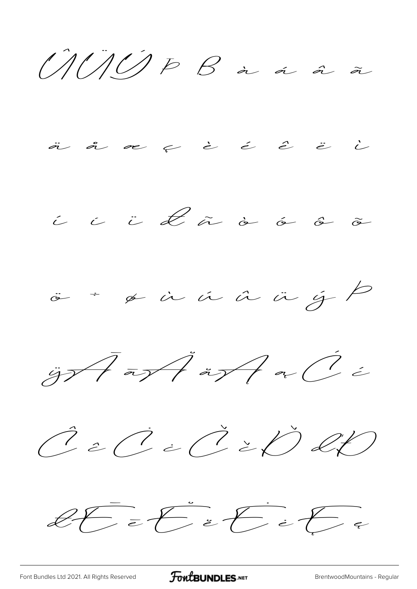$U U U P B a a a x$ 



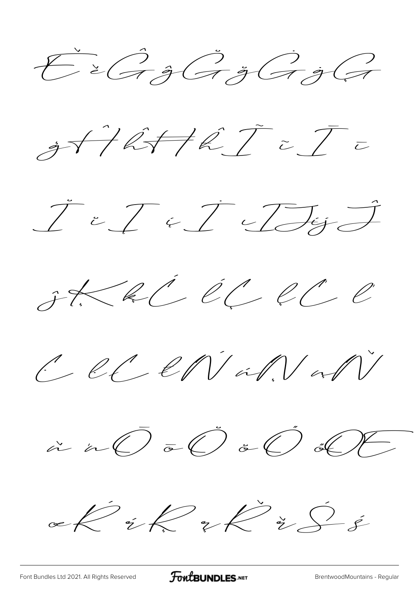$\check{\mathcal{E}}$  è G ĝ G ğ G ĝ G







 $C \ell C$ 



 $\ll k$  ik  $\chi$  is  $\frac{1}{2}$ 

[Font Bundles Ltd 2021. All Rights Reserved](https://fontbundles.net/) **FoutBUNDLES.NET** [BrentwoodMountains - Regular](https://fontbundles.net/)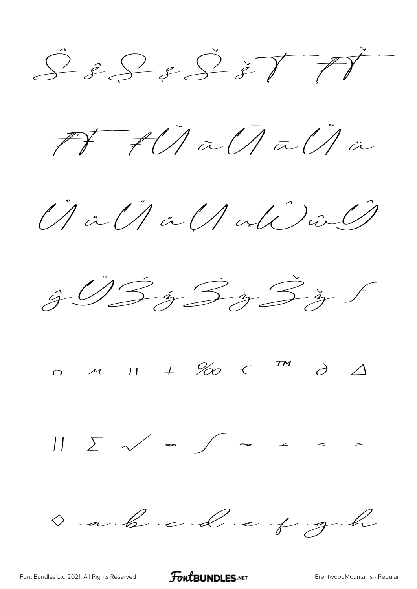$S = S - S$   $\geq T T T$ 

ťŦŧ Ũ ũ Ū ū Ŭ ŭ

 $\hat{U}$  in  $\hat{U}/\hat{a}\hat{U}$  and  $\hat{U}$ 



Ω μ π ‡ ‰ € ™ ∂ ∆

∏ ∑ √ ∞ ∫ ≈ ≠ ≤ ≥

a a b c d e f g h

[Font Bundles Ltd 2021. All Rights Reserved](https://fontbundles.net/) **FoutBUNDLES.NET** [BrentwoodMountains - Regular](https://fontbundles.net/)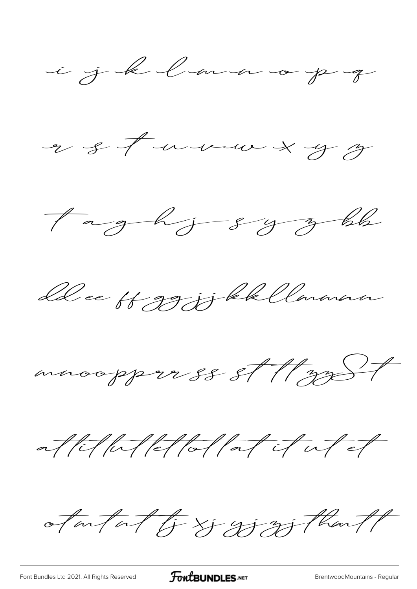











atantat & Di Withant